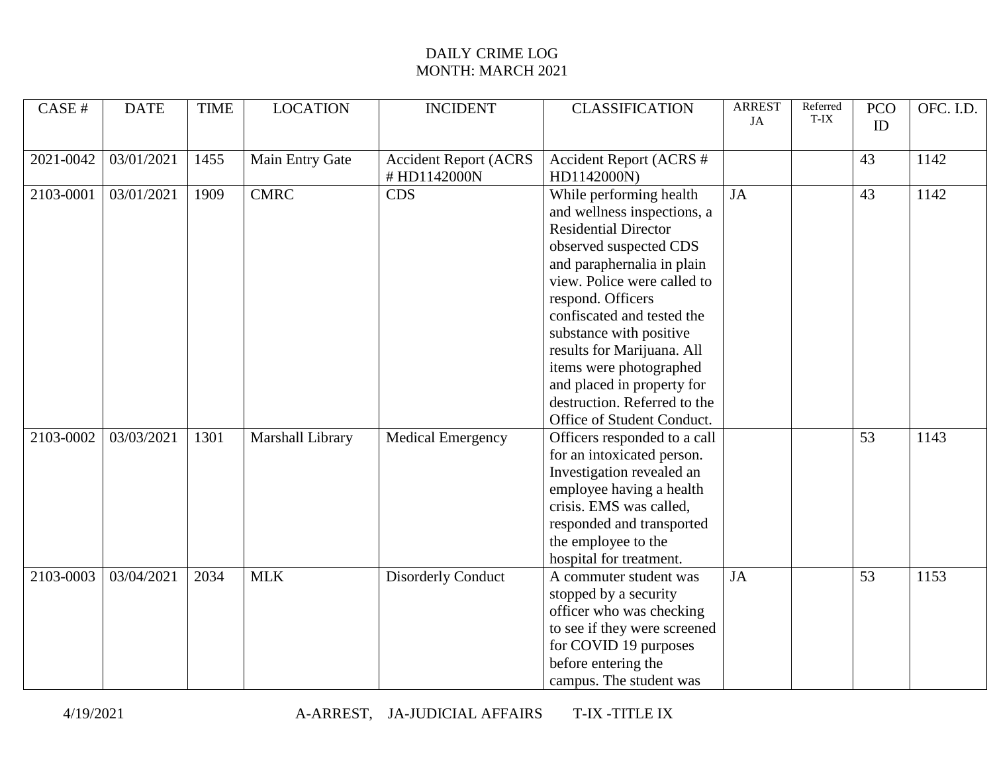| CASE #    | <b>DATE</b> | <b>TIME</b> | <b>LOCATION</b>  | <b>INCIDENT</b>              | <b>CLASSIFICATION</b>          | <b>ARREST</b><br>JA | Referred<br>T-IX | <b>PCO</b><br>ID | OFC. I.D. |
|-----------|-------------|-------------|------------------|------------------------------|--------------------------------|---------------------|------------------|------------------|-----------|
|           |             |             |                  |                              |                                |                     |                  |                  |           |
| 2021-0042 | 03/01/2021  | 1455        | Main Entry Gate  | <b>Accident Report (ACRS</b> | <b>Accident Report (ACRS #</b> |                     |                  | 43               | 1142      |
|           |             |             |                  | #HD1142000N                  | HD1142000N)                    |                     |                  |                  |           |
| 2103-0001 | 03/01/2021  | 1909        | <b>CMRC</b>      | <b>CDS</b>                   | While performing health        | <b>JA</b>           |                  | 43               | 1142      |
|           |             |             |                  |                              | and wellness inspections, a    |                     |                  |                  |           |
|           |             |             |                  |                              | <b>Residential Director</b>    |                     |                  |                  |           |
|           |             |             |                  |                              | observed suspected CDS         |                     |                  |                  |           |
|           |             |             |                  |                              | and paraphernalia in plain     |                     |                  |                  |           |
|           |             |             |                  |                              | view. Police were called to    |                     |                  |                  |           |
|           |             |             |                  |                              | respond. Officers              |                     |                  |                  |           |
|           |             |             |                  |                              | confiscated and tested the     |                     |                  |                  |           |
|           |             |             |                  |                              | substance with positive        |                     |                  |                  |           |
|           |             |             |                  |                              | results for Marijuana. All     |                     |                  |                  |           |
|           |             |             |                  |                              | items were photographed        |                     |                  |                  |           |
|           |             |             |                  |                              | and placed in property for     |                     |                  |                  |           |
|           |             |             |                  |                              | destruction. Referred to the   |                     |                  |                  |           |
|           |             |             |                  |                              | Office of Student Conduct.     |                     |                  |                  |           |
| 2103-0002 | 03/03/2021  | 1301        | Marshall Library | Medical Emergency            | Officers responded to a call   |                     |                  | $\overline{53}$  | 1143      |
|           |             |             |                  |                              | for an intoxicated person.     |                     |                  |                  |           |
|           |             |             |                  |                              | Investigation revealed an      |                     |                  |                  |           |
|           |             |             |                  |                              | employee having a health       |                     |                  |                  |           |
|           |             |             |                  |                              | crisis. EMS was called,        |                     |                  |                  |           |
|           |             |             |                  |                              | responded and transported      |                     |                  |                  |           |
|           |             |             |                  |                              | the employee to the            |                     |                  |                  |           |
|           |             |             |                  |                              | hospital for treatment.        |                     |                  |                  |           |
| 2103-0003 | 03/04/2021  | 2034        | <b>MLK</b>       | <b>Disorderly Conduct</b>    | A commuter student was         | <b>JA</b>           |                  | 53               | 1153      |
|           |             |             |                  |                              | stopped by a security          |                     |                  |                  |           |
|           |             |             |                  |                              | officer who was checking       |                     |                  |                  |           |
|           |             |             |                  |                              | to see if they were screened   |                     |                  |                  |           |
|           |             |             |                  |                              | for COVID 19 purposes          |                     |                  |                  |           |
|           |             |             |                  |                              | before entering the            |                     |                  |                  |           |
|           |             |             |                  |                              | campus. The student was        |                     |                  |                  |           |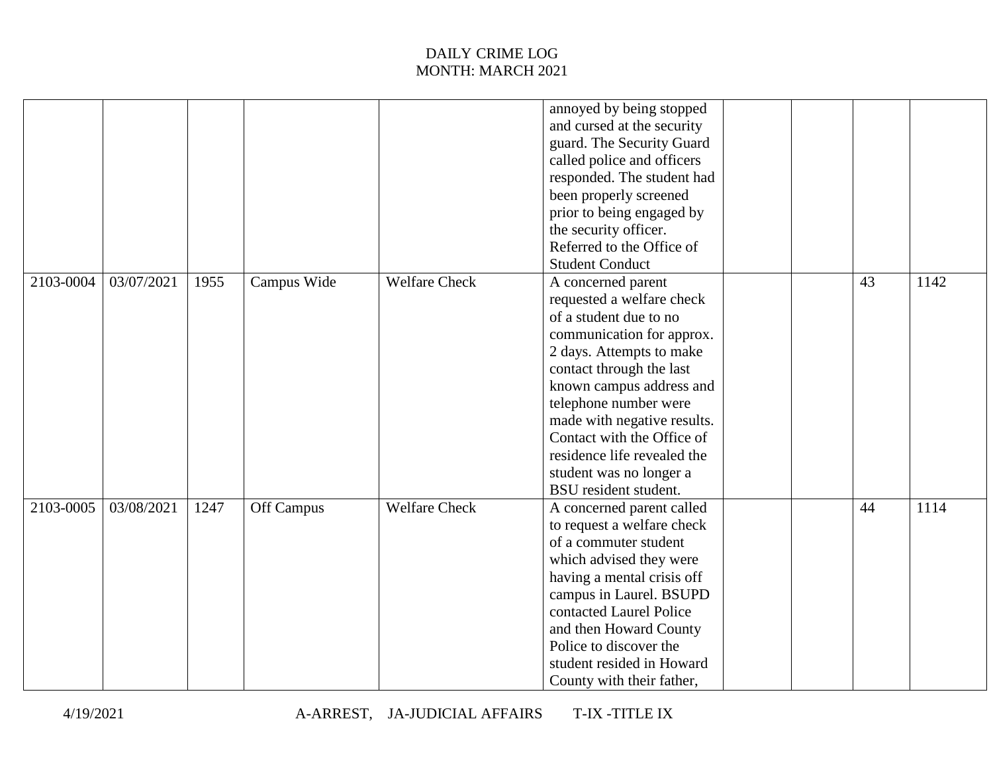|               |            |      |             |                      | annoyed by being stopped    |    |      |
|---------------|------------|------|-------------|----------------------|-----------------------------|----|------|
|               |            |      |             |                      | and cursed at the security  |    |      |
|               |            |      |             |                      | guard. The Security Guard   |    |      |
|               |            |      |             |                      | called police and officers  |    |      |
|               |            |      |             |                      | responded. The student had  |    |      |
|               |            |      |             |                      | been properly screened      |    |      |
|               |            |      |             |                      | prior to being engaged by   |    |      |
|               |            |      |             |                      | the security officer.       |    |      |
|               |            |      |             |                      | Referred to the Office of   |    |      |
|               |            |      |             |                      | <b>Student Conduct</b>      |    |      |
| 2103-0004     | 03/07/2021 | 1955 | Campus Wide | <b>Welfare Check</b> | A concerned parent          | 43 | 1142 |
|               |            |      |             |                      | requested a welfare check   |    |      |
|               |            |      |             |                      | of a student due to no      |    |      |
|               |            |      |             |                      | communication for approx.   |    |      |
|               |            |      |             |                      | 2 days. Attempts to make    |    |      |
|               |            |      |             |                      | contact through the last    |    |      |
|               |            |      |             |                      | known campus address and    |    |      |
|               |            |      |             |                      | telephone number were       |    |      |
|               |            |      |             |                      | made with negative results. |    |      |
|               |            |      |             |                      | Contact with the Office of  |    |      |
|               |            |      |             |                      | residence life revealed the |    |      |
|               |            |      |             |                      | student was no longer a     |    |      |
|               |            |      |             |                      | BSU resident student.       |    |      |
| $2103 - 0005$ | 03/08/2021 | 1247 | Off Campus  | <b>Welfare Check</b> | A concerned parent called   | 44 | 1114 |
|               |            |      |             |                      | to request a welfare check  |    |      |
|               |            |      |             |                      | of a commuter student       |    |      |
|               |            |      |             |                      | which advised they were     |    |      |
|               |            |      |             |                      | having a mental crisis off  |    |      |
|               |            |      |             |                      | campus in Laurel. BSUPD     |    |      |
|               |            |      |             |                      | contacted Laurel Police     |    |      |
|               |            |      |             |                      | and then Howard County      |    |      |
|               |            |      |             |                      | Police to discover the      |    |      |
|               |            |      |             |                      | student resided in Howard   |    |      |
|               |            |      |             |                      | County with their father,   |    |      |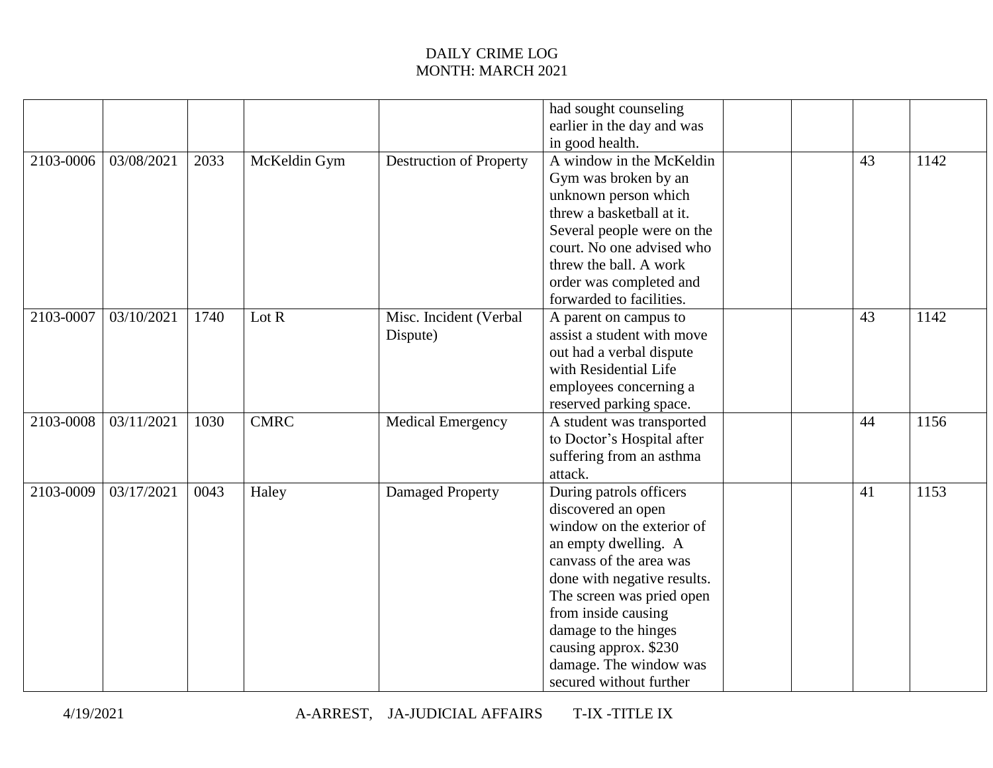|           |            |      |              |                                    | had sought counseling<br>earlier in the day and was<br>in good health.                                                                                                                                                                                                                                                 |  |    |      |
|-----------|------------|------|--------------|------------------------------------|------------------------------------------------------------------------------------------------------------------------------------------------------------------------------------------------------------------------------------------------------------------------------------------------------------------------|--|----|------|
| 2103-0006 | 03/08/2021 | 2033 | McKeldin Gym | <b>Destruction of Property</b>     | A window in the McKeldin<br>Gym was broken by an<br>unknown person which<br>threw a basketball at it.<br>Several people were on the<br>court. No one advised who<br>threw the ball. A work<br>order was completed and<br>forwarded to facilities.                                                                      |  | 43 | 1142 |
| 2103-0007 | 03/10/2021 | 1740 | Lot $R$      | Misc. Incident (Verbal<br>Dispute) | A parent on campus to<br>assist a student with move<br>out had a verbal dispute<br>with Residential Life<br>employees concerning a<br>reserved parking space.                                                                                                                                                          |  | 43 | 1142 |
| 2103-0008 | 03/11/2021 | 1030 | <b>CMRC</b>  | Medical Emergency                  | A student was transported<br>to Doctor's Hospital after<br>suffering from an asthma<br>attack.                                                                                                                                                                                                                         |  | 44 | 1156 |
| 2103-0009 | 03/17/2021 | 0043 | Haley        | Damaged Property                   | During patrols officers<br>discovered an open<br>window on the exterior of<br>an empty dwelling. A<br>canvass of the area was<br>done with negative results.<br>The screen was pried open<br>from inside causing<br>damage to the hinges<br>causing approx. \$230<br>damage. The window was<br>secured without further |  | 41 | 1153 |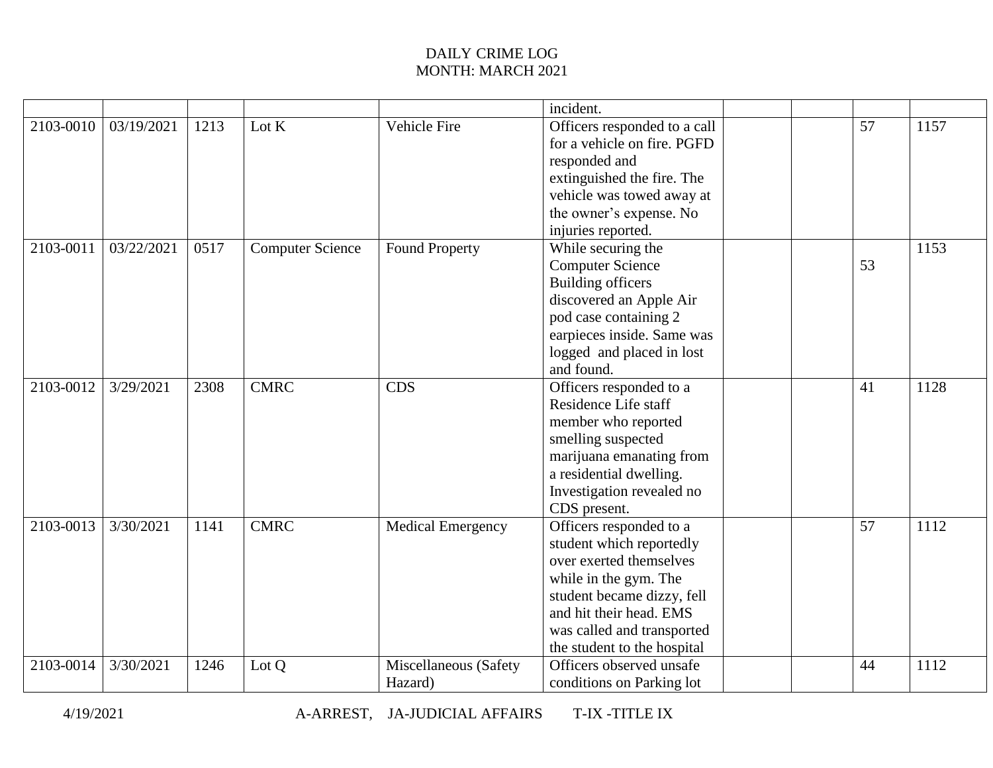|           |            |      |                         |                          | incident.                    |    |      |
|-----------|------------|------|-------------------------|--------------------------|------------------------------|----|------|
| 2103-0010 | 03/19/2021 | 1213 | Lot K                   | Vehicle Fire             | Officers responded to a call | 57 | 1157 |
|           |            |      |                         |                          | for a vehicle on fire. PGFD  |    |      |
|           |            |      |                         |                          | responded and                |    |      |
|           |            |      |                         |                          | extinguished the fire. The   |    |      |
|           |            |      |                         |                          | vehicle was towed away at    |    |      |
|           |            |      |                         |                          | the owner's expense. No      |    |      |
|           |            |      |                         |                          | injuries reported.           |    |      |
| 2103-0011 | 03/22/2021 | 0517 | <b>Computer Science</b> | <b>Found Property</b>    | While securing the           |    | 1153 |
|           |            |      |                         |                          | <b>Computer Science</b>      | 53 |      |
|           |            |      |                         |                          | <b>Building officers</b>     |    |      |
|           |            |      |                         |                          | discovered an Apple Air      |    |      |
|           |            |      |                         |                          | pod case containing 2        |    |      |
|           |            |      |                         |                          | earpieces inside. Same was   |    |      |
|           |            |      |                         |                          | logged and placed in lost    |    |      |
|           |            |      |                         |                          | and found.                   |    |      |
| 2103-0012 | 3/29/2021  | 2308 | <b>CMRC</b>             | <b>CDS</b>               | Officers responded to a      | 41 | 1128 |
|           |            |      |                         |                          | Residence Life staff         |    |      |
|           |            |      |                         |                          | member who reported          |    |      |
|           |            |      |                         |                          | smelling suspected           |    |      |
|           |            |      |                         |                          | marijuana emanating from     |    |      |
|           |            |      |                         |                          | a residential dwelling.      |    |      |
|           |            |      |                         |                          | Investigation revealed no    |    |      |
|           |            |      |                         |                          | CDS present.                 |    |      |
| 2103-0013 | 3/30/2021  | 1141 | <b>CMRC</b>             | <b>Medical Emergency</b> | Officers responded to a      | 57 | 1112 |
|           |            |      |                         |                          | student which reportedly     |    |      |
|           |            |      |                         |                          | over exerted themselves      |    |      |
|           |            |      |                         |                          | while in the gym. The        |    |      |
|           |            |      |                         |                          | student became dizzy, fell   |    |      |
|           |            |      |                         |                          | and hit their head. EMS      |    |      |
|           |            |      |                         |                          | was called and transported   |    |      |
|           |            |      |                         |                          | the student to the hospital  |    |      |
| 2103-0014 | 3/30/2021  | 1246 | Lot Q                   | Miscellaneous (Safety    | Officers observed unsafe     | 44 | 1112 |
|           |            |      |                         | Hazard)                  | conditions on Parking lot    |    |      |